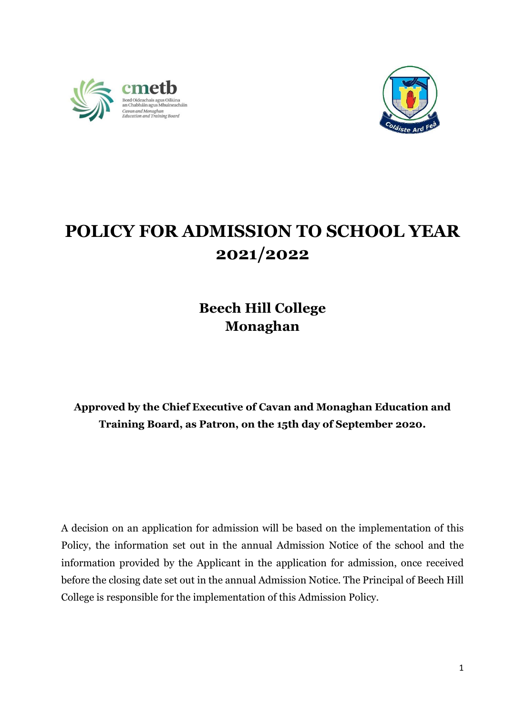



## POLICY FOR ADMISSION TO SCHOOL YEAR 2021/2022

## Beech Hill College Monaghan

## Approved by the Chief Executive of Cavan and Monaghan Education and Training Board, as Patron, on the 15th day of September 2020.

A decision on an application for admission will be based on the implementation of this Policy, the information set out in the annual Admission Notice of the school and the information provided by the Applicant in the application for admission, once received before the closing date set out in the annual Admission Notice. The Principal of Beech Hill College is responsible for the implementation of this Admission Policy.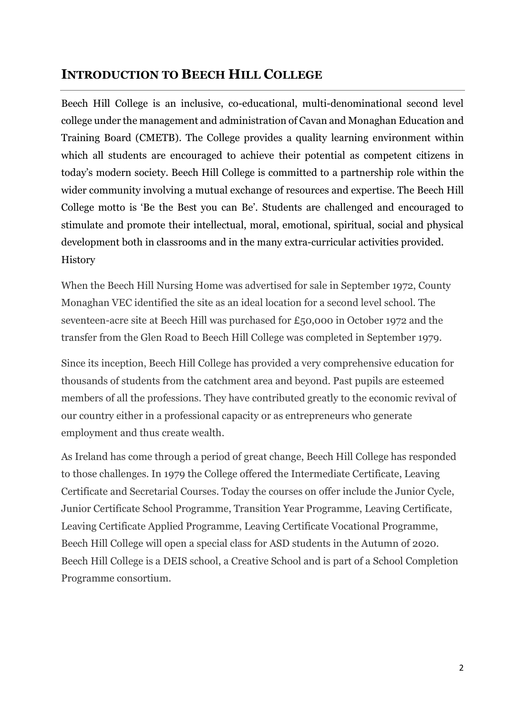## INTRODUCTION TO BEECH HILL COLLEGE

Beech Hill College is an inclusive, co-educational, multi-denominational second level college under the management and administration of Cavan and Monaghan Education and Training Board (CMETB). The College provides a quality learning environment within which all students are encouraged to achieve their potential as competent citizens in today's modern society. Beech Hill College is committed to a partnership role within the wider community involving a mutual exchange of resources and expertise. The Beech Hill College motto is 'Be the Best you can Be'. Students are challenged and encouraged to stimulate and promote their intellectual, moral, emotional, spiritual, social and physical development both in classrooms and in the many extra-curricular activities provided. **History** 

When the Beech Hill Nursing Home was advertised for sale in September 1972, County Monaghan VEC identified the site as an ideal location for a second level school. The seventeen-acre site at Beech Hill was purchased for £50,000 in October 1972 and the transfer from the Glen Road to Beech Hill College was completed in September 1979.

Since its inception, Beech Hill College has provided a very comprehensive education for thousands of students from the catchment area and beyond. Past pupils are esteemed members of all the professions. They have contributed greatly to the economic revival of our country either in a professional capacity or as entrepreneurs who generate employment and thus create wealth.

As Ireland has come through a period of great change, Beech Hill College has responded to those challenges. In 1979 the College offered the Intermediate Certificate, Leaving Certificate and Secretarial Courses. Today the courses on offer include the Junior Cycle, Junior Certificate School Programme, Transition Year Programme, Leaving Certificate, Leaving Certificate Applied Programme, Leaving Certificate Vocational Programme, Beech Hill College will open a special class for ASD students in the Autumn of 2020. Beech Hill College is a DEIS school, a Creative School and is part of a School Completion Programme consortium.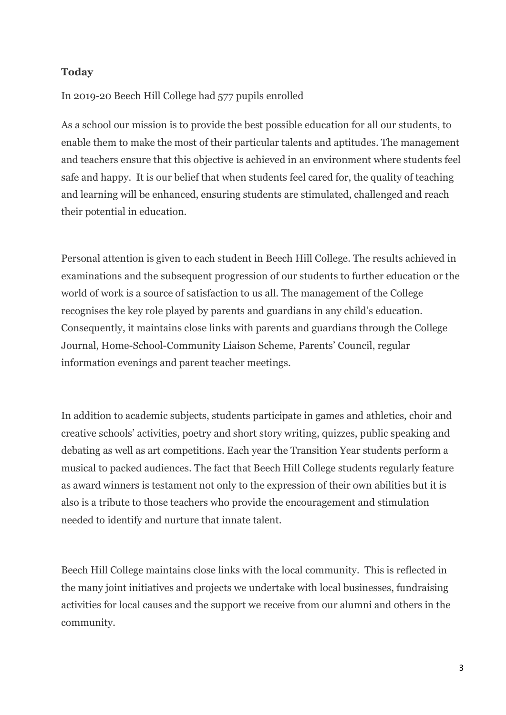#### **Today**

### In 2019-20 Beech Hill College had 577 pupils enrolled

As a school our mission is to provide the best possible education for all our students, to enable them to make the most of their particular talents and aptitudes. The management and teachers ensure that this objective is achieved in an environment where students feel safe and happy. It is our belief that when students feel cared for, the quality of teaching and learning will be enhanced, ensuring students are stimulated, challenged and reach their potential in education.

Personal attention is given to each student in Beech Hill College. The results achieved in examinations and the subsequent progression of our students to further education or the world of work is a source of satisfaction to us all. The management of the College recognises the key role played by parents and guardians in any child's education. Consequently, it maintains close links with parents and guardians through the College Journal, Home-School-Community Liaison Scheme, Parents' Council, regular information evenings and parent teacher meetings.

In addition to academic subjects, students participate in games and athletics, choir and creative schools' activities, poetry and short story writing, quizzes, public speaking and debating as well as art competitions. Each year the Transition Year students perform a musical to packed audiences. The fact that Beech Hill College students regularly feature as award winners is testament not only to the expression of their own abilities but it is also is a tribute to those teachers who provide the encouragement and stimulation needed to identify and nurture that innate talent.

Beech Hill College maintains close links with the local community. This is reflected in the many joint initiatives and projects we undertake with local businesses, fundraising activities for local causes and the support we receive from our alumni and others in the community.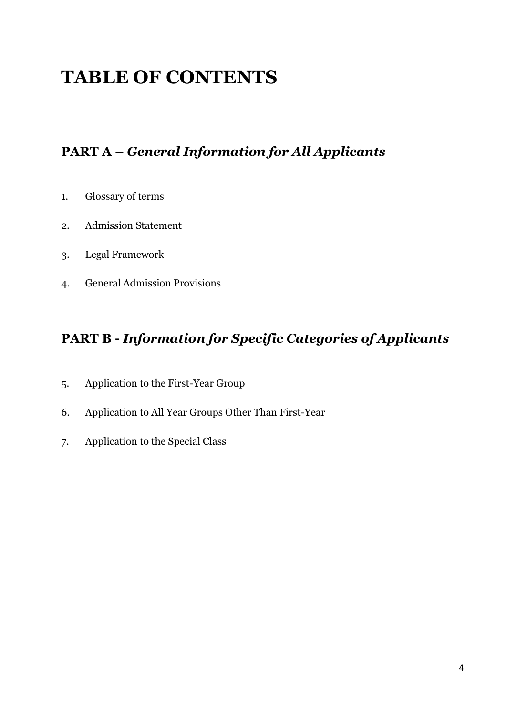## TABLE OF CONTENTS

## PART A – General Information for All Applicants

- 1. Glossary of terms
- 2. Admission Statement
- 3. Legal Framework
- 4. General Admission Provisions

## PART B - Information for Specific Categories of Applicants

- 5. Application to the First-Year Group
- 6. Application to All Year Groups Other Than First-Year
- 7. Application to the Special Class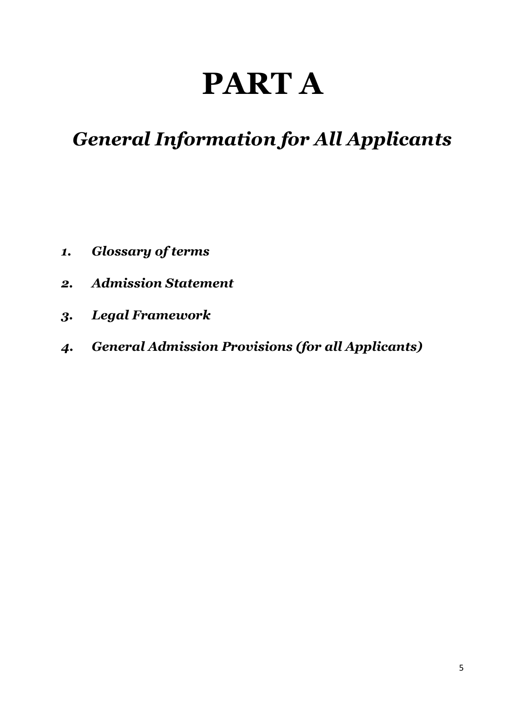# PART A

## General Information for All Applicants

- 1. Glossary of terms
- 2. Admission Statement
- 3. Legal Framework
- 4. General Admission Provisions (for all Applicants)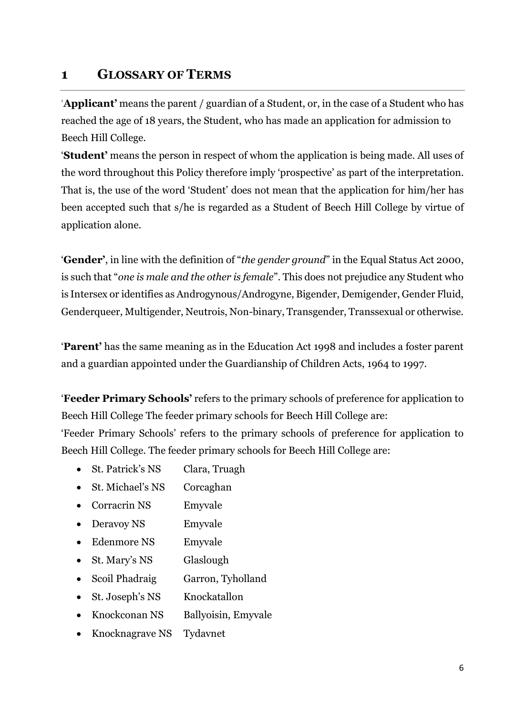## 1 GLOSSARY OF TERMS

'Applicant' means the parent / guardian of a Student, or, in the case of a Student who has reached the age of 18 years, the Student, who has made an application for admission to Beech Hill College.

'Student' means the person in respect of whom the application is being made. All uses of the word throughout this Policy therefore imply 'prospective' as part of the interpretation. That is, the use of the word 'Student' does not mean that the application for him/her has been accepted such that s/he is regarded as a Student of Beech Hill College by virtue of application alone.

'Gender', in line with the definition of "the gender ground" in the Equal Status Act 2000, is such that "one is male and the other is female". This does not prejudice any Student who is Intersex or identifies as Androgynous/Androgyne, Bigender, Demigender, Gender Fluid, Genderqueer, Multigender, Neutrois, Non-binary, Transgender, Transsexual or otherwise.

'Parent' has the same meaning as in the Education Act 1998 and includes a foster parent and a guardian appointed under the Guardianship of Children Acts, 1964 to 1997.

'Feeder Primary Schools' refers to the primary schools of preference for application to Beech Hill College The feeder primary schools for Beech Hill College are: 'Feeder Primary Schools' refers to the primary schools of preference for application to Beech Hill College. The feeder primary schools for Beech Hill College are:

- St. Patrick's NS Clara, Truagh
- St. Michael's NS Corcaghan
- Corracrin NS Emyvale
- Deravoy NS Emyvale
- Edenmore NS Emyvale
- St. Mary's NS Glaslough
- Scoil Phadraig Garron, Tyholland
- St. Joseph's NS Knockatallon
- Knockconan NS Ballyoisin, Emyvale
- Knocknagrave NS Tydavnet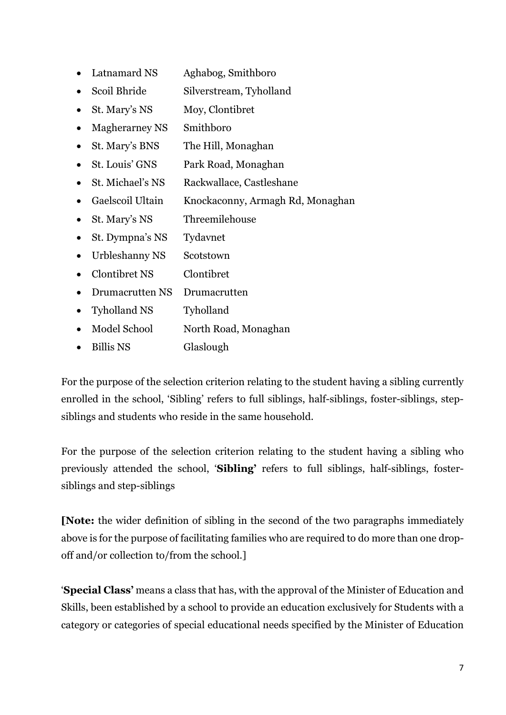- Latnamard NS Aghabog, Smithboro
- Scoil Bhride Silverstream, Tyholland
- St. Mary's NS Moy, Clontibret
- Magherarney NS Smithboro
- St. Mary's BNS The Hill, Monaghan
- St. Louis' GNS Park Road, Monaghan
- St. Michael's NS Rackwallace, Castleshane
- Gaelscoil Ultain Knockaconny, Armagh Rd, Monaghan
- St. Mary's NS Threemilehouse
- St. Dympna's NS Tydavnet
- Urbleshanny NS Scotstown
- Clontibret NS Clontibret
- Drumacrutten NS Drumacrutten
- Tyholland NS Tyholland
- Model School North Road, Monaghan
- Billis NS Glaslough

For the purpose of the selection criterion relating to the student having a sibling currently enrolled in the school, 'Sibling' refers to full siblings, half-siblings, foster-siblings, stepsiblings and students who reside in the same household.

For the purpose of the selection criterion relating to the student having a sibling who previously attended the school, 'Sibling' refers to full siblings, half-siblings, fostersiblings and step-siblings

[Note: the wider definition of sibling in the second of the two paragraphs immediately above is for the purpose of facilitating families who are required to do more than one dropoff and/or collection to/from the school.]

'Special Class' means a class that has, with the approval of the Minister of Education and Skills, been established by a school to provide an education exclusively for Students with a category or categories of special educational needs specified by the Minister of Education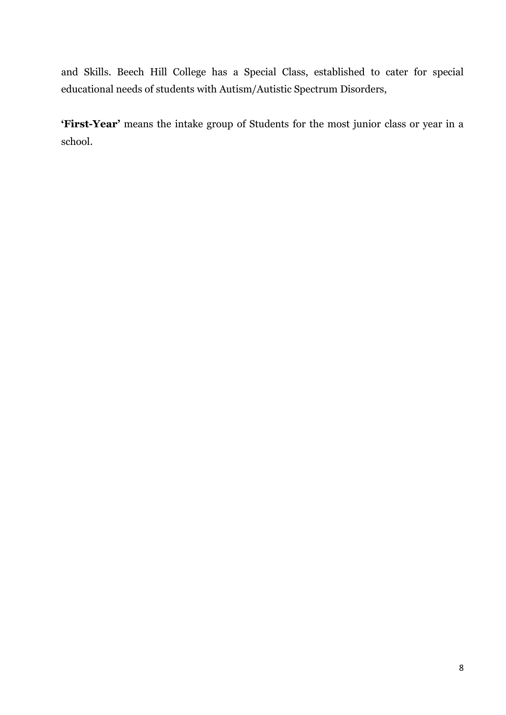and Skills. Beech Hill College has a Special Class, established to cater for special educational needs of students with Autism/Autistic Spectrum Disorders,

'First-Year' means the intake group of Students for the most junior class or year in a school.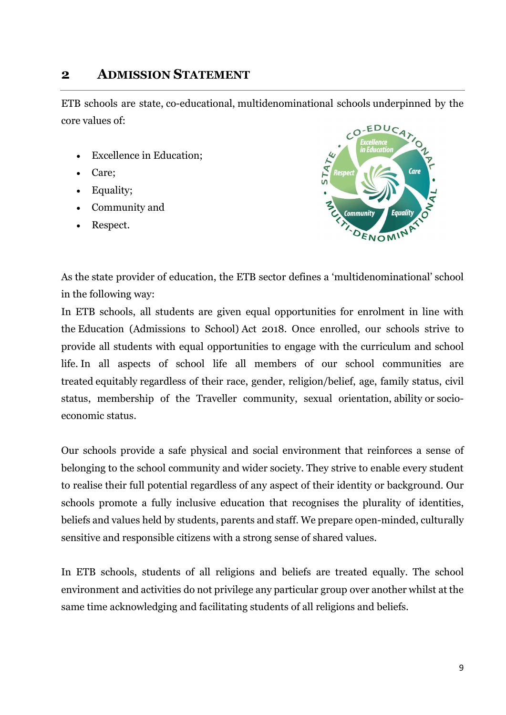## 2 ADMISSION STATEMENT

ETB schools are state, co-educational, multidenominational schools underpinned by the core values of:

- Excellence in Education;
- Care;
- Equality;
- Community and
- Respect.



As the state provider of education, the ETB sector defines a 'multidenominational' school in the following way:

In ETB schools, all students are given equal opportunities for enrolment in line with the Education (Admissions to School) Act 2018. Once enrolled, our schools strive to provide all students with equal opportunities to engage with the curriculum and school life. In all aspects of school life all members of our school communities are treated equitably regardless of their race, gender, religion/belief, age, family status, civil status, membership of the Traveller community, sexual orientation, ability or socioeconomic status.

Our schools provide a safe physical and social environment that reinforces a sense of belonging to the school community and wider society. They strive to enable every student to realise their full potential regardless of any aspect of their identity or background. Our schools promote a fully inclusive education that recognises the plurality of identities, beliefs and values held by students, parents and staff. We prepare open-minded, culturally sensitive and responsible citizens with a strong sense of shared values.

In ETB schools, students of all religions and beliefs are treated equally. The school environment and activities do not privilege any particular group over another whilst at the same time acknowledging and facilitating students of all religions and beliefs.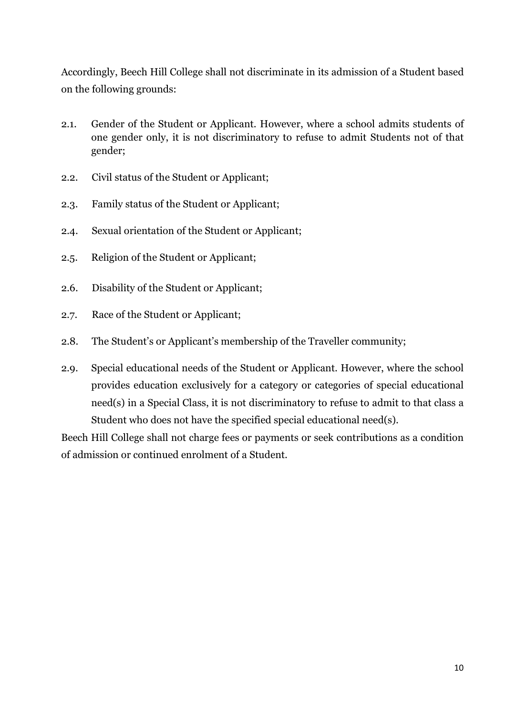Accordingly, Beech Hill College shall not discriminate in its admission of a Student based on the following grounds:

- 2.1. Gender of the Student or Applicant. However, where a school admits students of one gender only, it is not discriminatory to refuse to admit Students not of that gender;
- 2.2. Civil status of the Student or Applicant;
- 2.3. Family status of the Student or Applicant;
- 2.4. Sexual orientation of the Student or Applicant;
- 2.5. Religion of the Student or Applicant;
- 2.6. Disability of the Student or Applicant;
- 2.7. Race of the Student or Applicant;
- 2.8. The Student's or Applicant's membership of the Traveller community;
- 2.9. Special educational needs of the Student or Applicant. However, where the school provides education exclusively for a category or categories of special educational need(s) in a Special Class, it is not discriminatory to refuse to admit to that class a Student who does not have the specified special educational need(s).

Beech Hill College shall not charge fees or payments or seek contributions as a condition of admission or continued enrolment of a Student.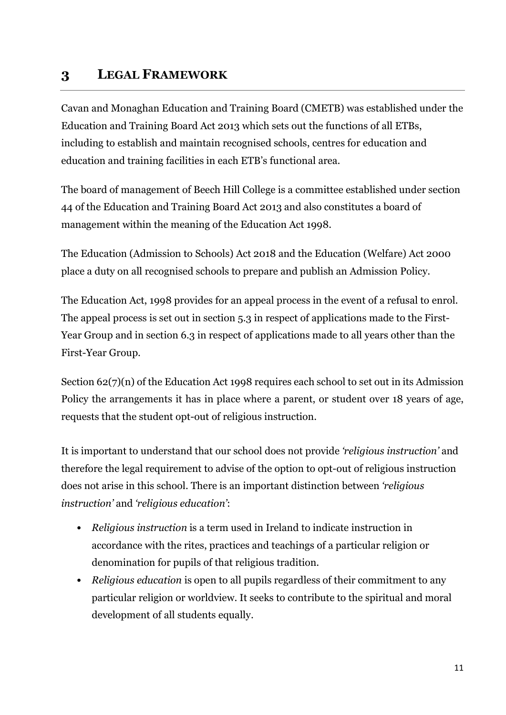## 3 LEGAL FRAMEWORK

Cavan and Monaghan Education and Training Board (CMETB) was established under the Education and Training Board Act 2013 which sets out the functions of all ETBs, including to establish and maintain recognised schools, centres for education and education and training facilities in each ETB's functional area.

The board of management of Beech Hill College is a committee established under section 44 of the Education and Training Board Act 2013 and also constitutes a board of management within the meaning of the Education Act 1998.

The Education (Admission to Schools) Act 2018 and the Education (Welfare) Act 2000 place a duty on all recognised schools to prepare and publish an Admission Policy.

The Education Act, 1998 provides for an appeal process in the event of a refusal to enrol. The appeal process is set out in section 5.3 in respect of applications made to the First-Year Group and in section 6.3 in respect of applications made to all years other than the First-Year Group.

Section 62(7)(n) of the Education Act 1998 requires each school to set out in its Admission Policy the arrangements it has in place where a parent, or student over 18 years of age, requests that the student opt-out of religious instruction.

It is important to understand that our school does not provide 'religious instruction' and therefore the legal requirement to advise of the option to opt-out of religious instruction does not arise in this school. There is an important distinction between 'religious instruction' and 'religious education':

- Religious instruction is a term used in Ireland to indicate instruction in accordance with the rites, practices and teachings of a particular religion or denomination for pupils of that religious tradition.
- Religious education is open to all pupils regardless of their commitment to any particular religion or worldview. It seeks to contribute to the spiritual and moral development of all students equally.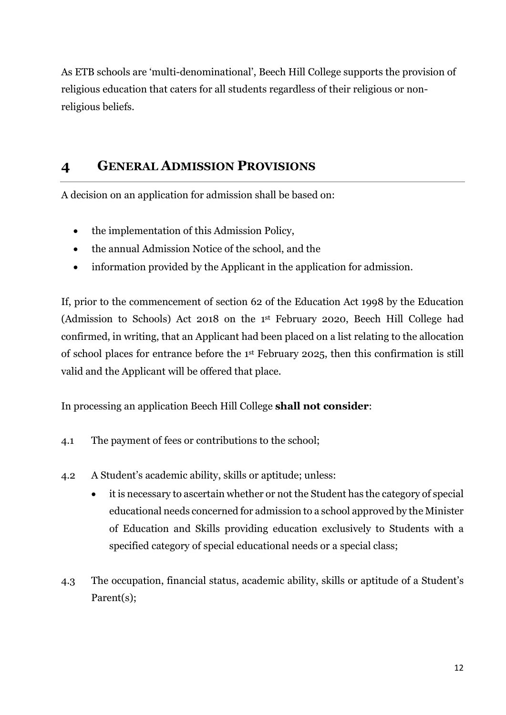As ETB schools are 'multi-denominational', Beech Hill College supports the provision of religious education that caters for all students regardless of their religious or nonreligious beliefs.

## 4 GENERAL ADMISSION PROVISIONS

A decision on an application for admission shall be based on:

- the implementation of this Admission Policy,
- the annual Admission Notice of the school, and the
- information provided by the Applicant in the application for admission.

If, prior to the commencement of section 62 of the Education Act 1998 by the Education (Admission to Schools) Act 2018 on the 1st February 2020, Beech Hill College had confirmed, in writing, that an Applicant had been placed on a list relating to the allocation of school places for entrance before the 1st February 2025, then this confirmation is still valid and the Applicant will be offered that place.

In processing an application Beech Hill College shall not consider:

- 4.1 The payment of fees or contributions to the school;
- 4.2 A Student's academic ability, skills or aptitude; unless:
	- it is necessary to ascertain whether or not the Student has the category of special educational needs concerned for admission to a school approved by the Minister of Education and Skills providing education exclusively to Students with a specified category of special educational needs or a special class;
- 4.3 The occupation, financial status, academic ability, skills or aptitude of a Student's Parent(s);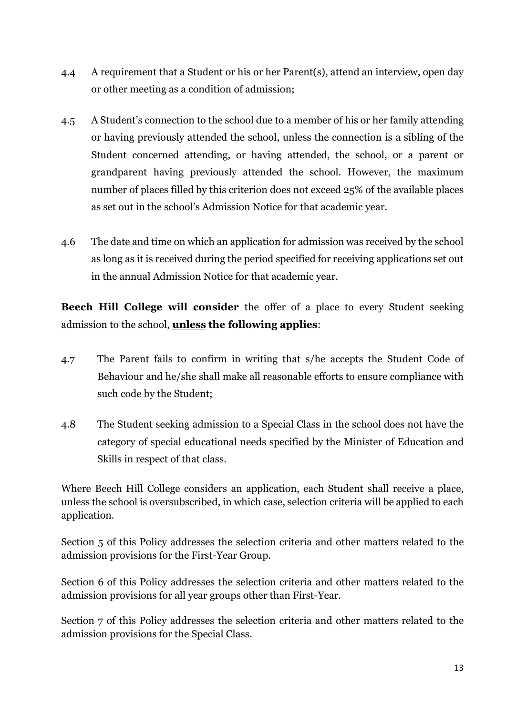- 4.4 A requirement that a Student or his or her Parent(s), attend an interview, open day or other meeting as a condition of admission;
- 4.5 A Student's connection to the school due to a member of his or her family attending or having previously attended the school, unless the connection is a sibling of the Student concerned attending, or having attended, the school, or a parent or grandparent having previously attended the school. However, the maximum number of places filled by this criterion does not exceed 25% of the available places as set out in the school's Admission Notice for that academic year.
- 4.6 The date and time on which an application for admission was received by the school as long as it is received during the period specified for receiving applications set out in the annual Admission Notice for that academic year.

Beech Hill College will consider the offer of a place to every Student seeking admission to the school, unless the following applies:

- 4.7 The Parent fails to confirm in writing that s/he accepts the Student Code of Behaviour and he/she shall make all reasonable efforts to ensure compliance with such code by the Student;
- 4.8 The Student seeking admission to a Special Class in the school does not have the category of special educational needs specified by the Minister of Education and Skills in respect of that class.

Where Beech Hill College considers an application, each Student shall receive a place, unless the school is oversubscribed, in which case, selection criteria will be applied to each application.

Section 5 of this Policy addresses the selection criteria and other matters related to the admission provisions for the First-Year Group.

Section 6 of this Policy addresses the selection criteria and other matters related to the admission provisions for all year groups other than First-Year.

Section 7 of this Policy addresses the selection criteria and other matters related to the admission provisions for the Special Class.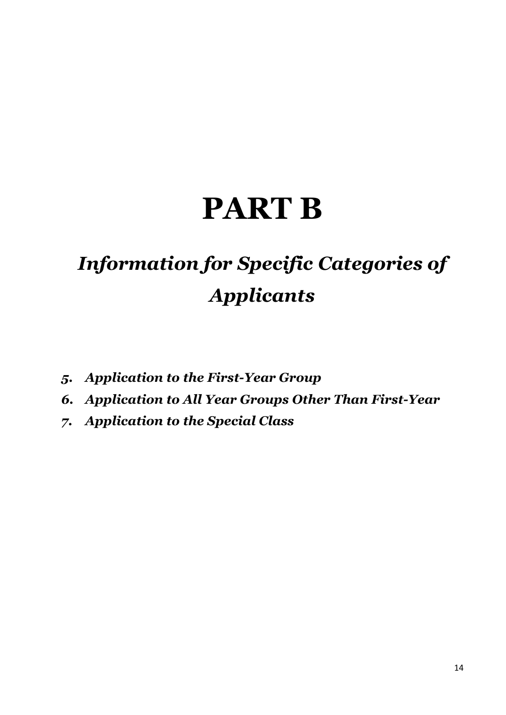# PART B

## Information for Specific Categories of Applicants

- 5. Application to the First-Year Group
- 6. Application to All Year Groups Other Than First-Year
- 7. Application to the Special Class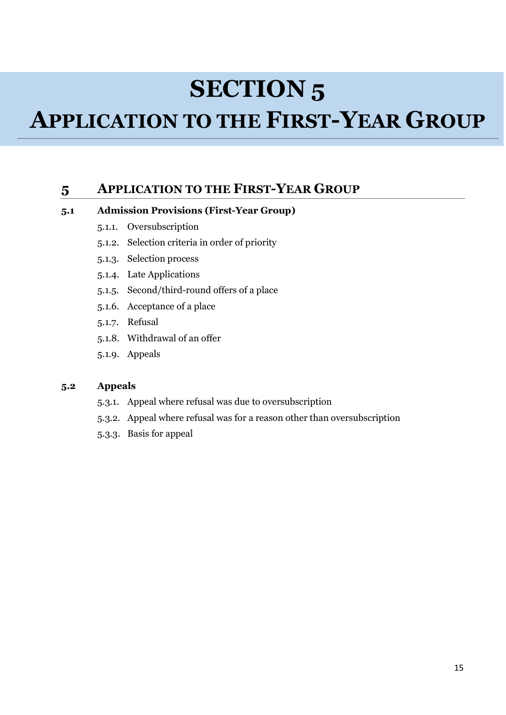## SECTION 5

## APPLICATION TO THE FIRST-YEAR GROUP

## 5 APPLICATION TO THE FIRST-YEAR GROUP

#### 5.1 Admission Provisions (First-Year Group)

- 5.1.1. Oversubscription
- 5.1.2. Selection criteria in order of priority
- 5.1.3. Selection process
- 5.1.4. Late Applications
- 5.1.5. Second/third-round offers of a place
- 5.1.6. Acceptance of a place
- 5.1.7. Refusal
- 5.1.8. Withdrawal of an offer
- 5.1.9. Appeals

#### 5.2 Appeals

- 5.3.1. Appeal where refusal was due to oversubscription
- 5.3.2. Appeal where refusal was for a reason other than oversubscription
- 5.3.3. Basis for appeal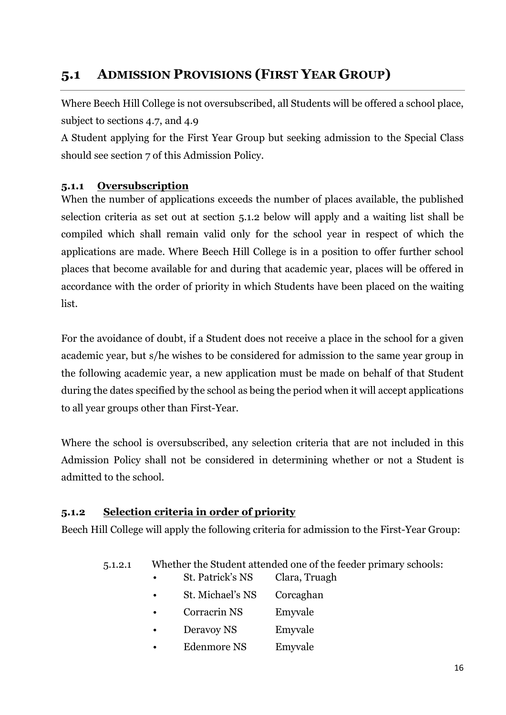## 5.1 ADMISSION PROVISIONS (FIRST YEAR GROUP)

Where Beech Hill College is not oversubscribed, all Students will be offered a school place, subject to sections 4.7, and 4.9

A Student applying for the First Year Group but seeking admission to the Special Class should see section 7 of this Admission Policy.

## 5.1.1 Oversubscription

When the number of applications exceeds the number of places available, the published selection criteria as set out at section 5.1.2 below will apply and a waiting list shall be compiled which shall remain valid only for the school year in respect of which the applications are made. Where Beech Hill College is in a position to offer further school places that become available for and during that academic year, places will be offered in accordance with the order of priority in which Students have been placed on the waiting list.

For the avoidance of doubt, if a Student does not receive a place in the school for a given academic year, but s/he wishes to be considered for admission to the same year group in the following academic year, a new application must be made on behalf of that Student during the dates specified by the school as being the period when it will accept applications to all year groups other than First-Year.

Where the school is oversubscribed, any selection criteria that are not included in this Admission Policy shall not be considered in determining whether or not a Student is admitted to the school.

## 5.1.2 Selection criteria in order of priority

Beech Hill College will apply the following criteria for admission to the First-Year Group:

- 5.1.2.1 Whether the Student attended one of the feeder primary schools:
	- St. Patrick's NS Clara, Truagh
	- St. Michael's NS Corcaghan
	- Corracrin NS Emyvale
	- Deravoy NS Emyvale
	- Edenmore NS Emyvale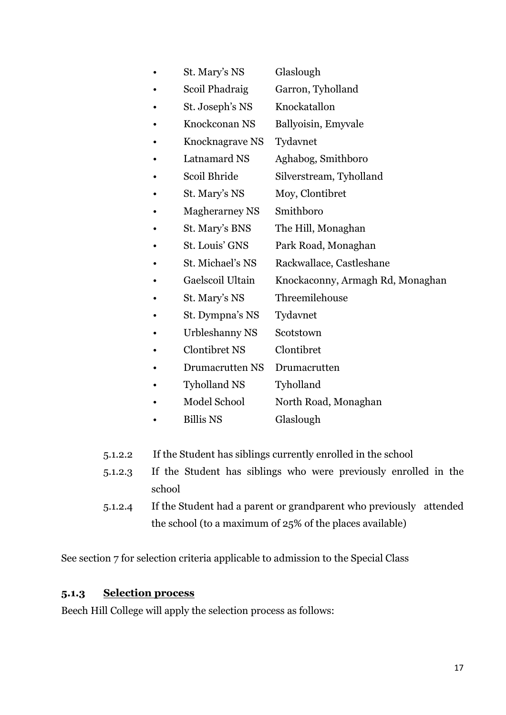- St. Mary's NS Glaslough
- Scoil Phadraig Garron, Tyholland
- St. Joseph's NS Knockatallon
- Knockconan NS Ballyoisin, Emyvale
	- Knocknagrave NS Tydavnet
- Latnamard NS Aghabog, Smithboro
- Scoil Bhride Silverstream, Tyholland
- St. Mary's NS Moy, Clontibret
- Magherarney NS Smithboro
- St. Mary's BNS The Hill, Monaghan
- St. Louis' GNS Park Road, Monaghan
- St. Michael's NS Rackwallace, Castleshane
- Gaelscoil Ultain Knockaconny, Armagh Rd, Monaghan
- St. Mary's NS Threemilehouse
- St. Dympna's NS Tydavnet
- Urbleshanny NS Scotstown
- Clontibret NS Clontibret
- Drumacrutten NS Drumacrutten
- Tyholland NS Tyholland
- Model School North Road, Monaghan
- Billis NS Glaslough
- 5.1.2.2 If the Student has siblings currently enrolled in the school
- 5.1.2.3 If the Student has siblings who were previously enrolled in the school
- 5.1.2.4 If the Student had a parent or grandparent who previously attended the school (to a maximum of 25% of the places available)

See section 7 for selection criteria applicable to admission to the Special Class

#### 5.1.3 Selection process

Beech Hill College will apply the selection process as follows: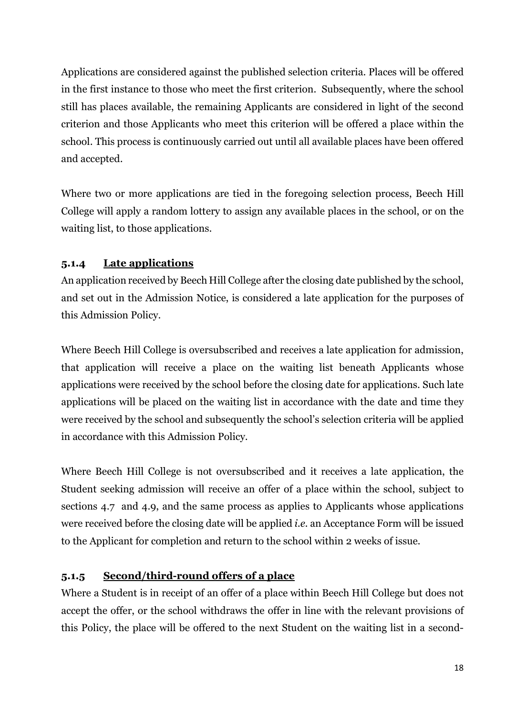Applications are considered against the published selection criteria. Places will be offered in the first instance to those who meet the first criterion. Subsequently, where the school still has places available, the remaining Applicants are considered in light of the second criterion and those Applicants who meet this criterion will be offered a place within the school. This process is continuously carried out until all available places have been offered and accepted.

Where two or more applications are tied in the foregoing selection process, Beech Hill College will apply a random lottery to assign any available places in the school, or on the waiting list, to those applications.

## 5.1.4 Late applications

An application received by Beech Hill College after the closing date published by the school, and set out in the Admission Notice, is considered a late application for the purposes of this Admission Policy.

Where Beech Hill College is oversubscribed and receives a late application for admission, that application will receive a place on the waiting list beneath Applicants whose applications were received by the school before the closing date for applications. Such late applications will be placed on the waiting list in accordance with the date and time they were received by the school and subsequently the school's selection criteria will be applied in accordance with this Admission Policy.

Where Beech Hill College is not oversubscribed and it receives a late application, the Student seeking admission will receive an offer of a place within the school, subject to sections 4.7 and 4.9, and the same process as applies to Applicants whose applications were received before the closing date will be applied i.e. an Acceptance Form will be issued to the Applicant for completion and return to the school within 2 weeks of issue.

## 5.1.5 Second/third-round offers of a place

Where a Student is in receipt of an offer of a place within Beech Hill College but does not accept the offer, or the school withdraws the offer in line with the relevant provisions of this Policy, the place will be offered to the next Student on the waiting list in a second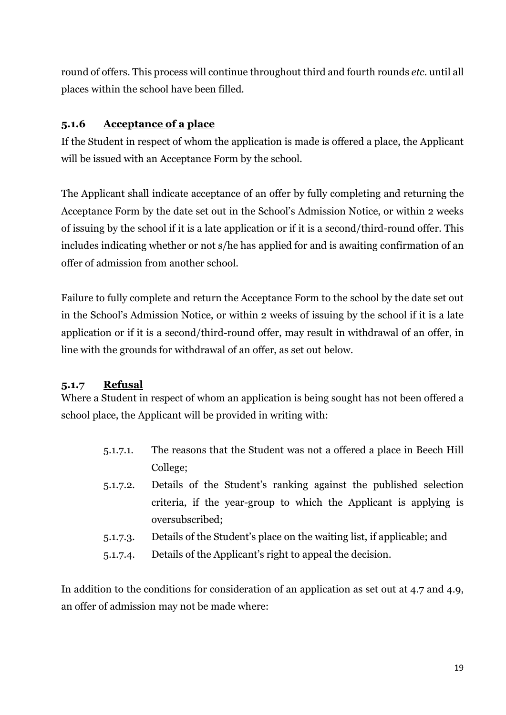round of offers. This process will continue throughout third and fourth rounds etc. until all places within the school have been filled.

## 5.1.6 Acceptance of a place

If the Student in respect of whom the application is made is offered a place, the Applicant will be issued with an Acceptance Form by the school.

The Applicant shall indicate acceptance of an offer by fully completing and returning the Acceptance Form by the date set out in the School's Admission Notice, or within 2 weeks of issuing by the school if it is a late application or if it is a second/third-round offer. This includes indicating whether or not s/he has applied for and is awaiting confirmation of an offer of admission from another school.

Failure to fully complete and return the Acceptance Form to the school by the date set out in the School's Admission Notice, or within 2 weeks of issuing by the school if it is a late application or if it is a second/third-round offer, may result in withdrawal of an offer, in line with the grounds for withdrawal of an offer, as set out below.

## 5.1.7 Refusal

Where a Student in respect of whom an application is being sought has not been offered a school place, the Applicant will be provided in writing with:

- 5.1.7.1. The reasons that the Student was not a offered a place in Beech Hill College;
- 5.1.7.2. Details of the Student's ranking against the published selection criteria, if the year-group to which the Applicant is applying is oversubscribed;
- 5.1.7.3. Details of the Student's place on the waiting list, if applicable; and
- 5.1.7.4. Details of the Applicant's right to appeal the decision.

In addition to the conditions for consideration of an application as set out at 4.7 and 4.9, an offer of admission may not be made where: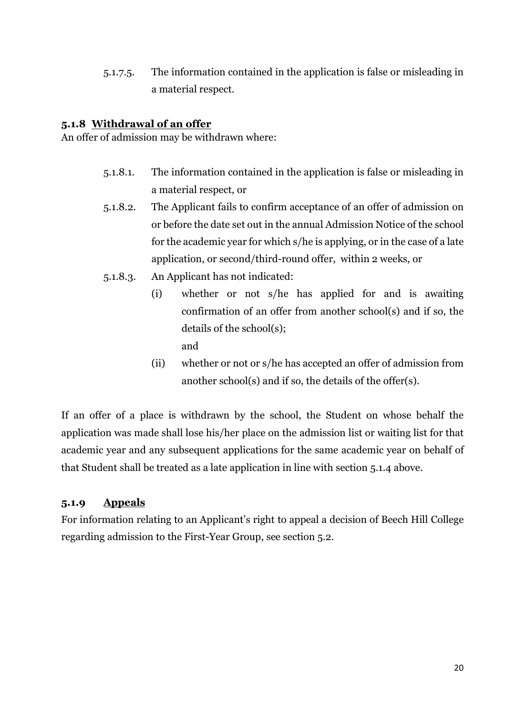5.1.7.5. The information contained in the application is false or misleading in a material respect.

#### 5.1.8 Withdrawal of an offer

An offer of admission may be withdrawn where:

- 5.1.8.1. The information contained in the application is false or misleading in a material respect, or
- 5.1.8.2. The Applicant fails to confirm acceptance of an offer of admission on or before the date set out in the annual Admission Notice of the school for the academic year for which s/he is applying, or in the case of a late application, or second/third-round offer, within 2 weeks, or
- 5.1.8.3. An Applicant has not indicated:
	- (i) whether or not s/he has applied for and is awaiting confirmation of an offer from another school(s) and if so, the details of the school(s); and
	- (ii) whether or not or s/he has accepted an offer of admission from another school(s) and if so, the details of the offer(s).

If an offer of a place is withdrawn by the school, the Student on whose behalf the application was made shall lose his/her place on the admission list or waiting list for that academic year and any subsequent applications for the same academic year on behalf of that Student shall be treated as a late application in line with section 5.1.4 above.

## 5.1.9 Appeals

For information relating to an Applicant's right to appeal a decision of Beech Hill College regarding admission to the First-Year Group, see section 5.2.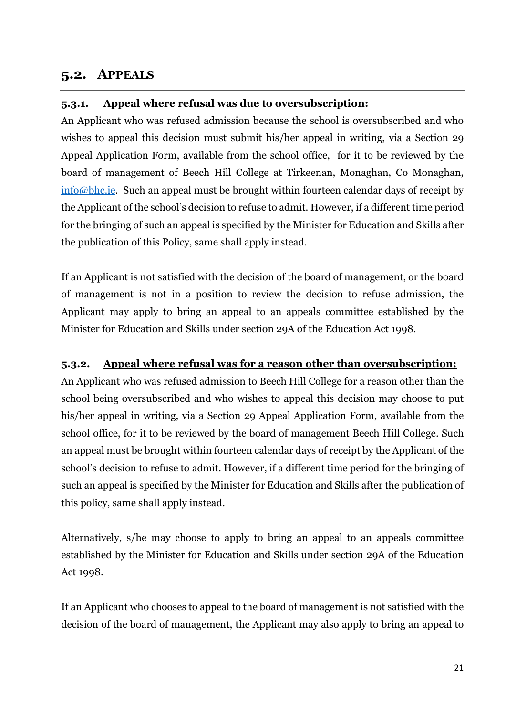## 5.2. APPEALS

### 5.3.1. Appeal where refusal was due to oversubscription:

An Applicant who was refused admission because the school is oversubscribed and who wishes to appeal this decision must submit his/her appeal in writing, via a Section 29 Appeal Application Form, available from the school office, for it to be reviewed by the board of management of Beech Hill College at Tirkeenan, Monaghan, Co Monaghan,  $\frac{\sin(0)}{2}$  info@bhc.ie. Such an appeal must be brought within fourteen calendar days of receipt by the Applicant of the school's decision to refuse to admit. However, if a different time period for the bringing of such an appeal is specified by the Minister for Education and Skills after the publication of this Policy, same shall apply instead.

If an Applicant is not satisfied with the decision of the board of management, or the board of management is not in a position to review the decision to refuse admission, the Applicant may apply to bring an appeal to an appeals committee established by the Minister for Education and Skills under section 29A of the Education Act 1998.

### 5.3.2. Appeal where refusal was for a reason other than oversubscription:

An Applicant who was refused admission to Beech Hill College for a reason other than the school being oversubscribed and who wishes to appeal this decision may choose to put his/her appeal in writing, via a Section 29 Appeal Application Form, available from the school office, for it to be reviewed by the board of management Beech Hill College. Such an appeal must be brought within fourteen calendar days of receipt by the Applicant of the school's decision to refuse to admit. However, if a different time period for the bringing of such an appeal is specified by the Minister for Education and Skills after the publication of this policy, same shall apply instead.

Alternatively, s/he may choose to apply to bring an appeal to an appeals committee established by the Minister for Education and Skills under section 29A of the Education Act 1998.

If an Applicant who chooses to appeal to the board of management is not satisfied with the decision of the board of management, the Applicant may also apply to bring an appeal to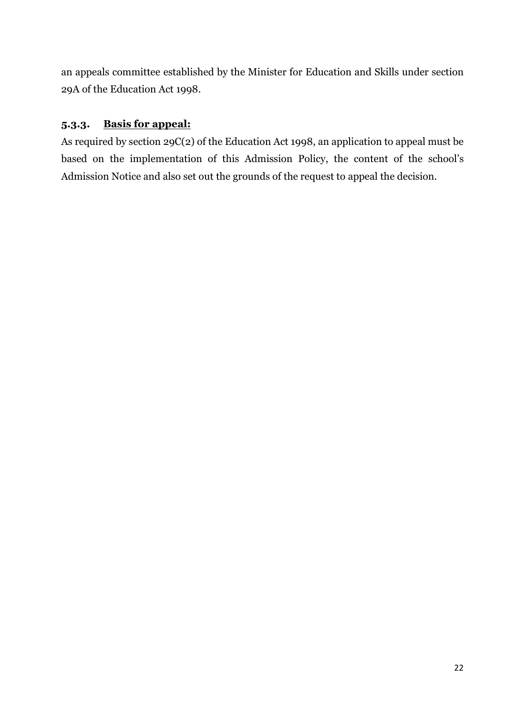an appeals committee established by the Minister for Education and Skills under section 29A of the Education Act 1998.

## 5.3.3. Basis for appeal:

As required by section 29C(2) of the Education Act 1998, an application to appeal must be based on the implementation of this Admission Policy, the content of the school's Admission Notice and also set out the grounds of the request to appeal the decision.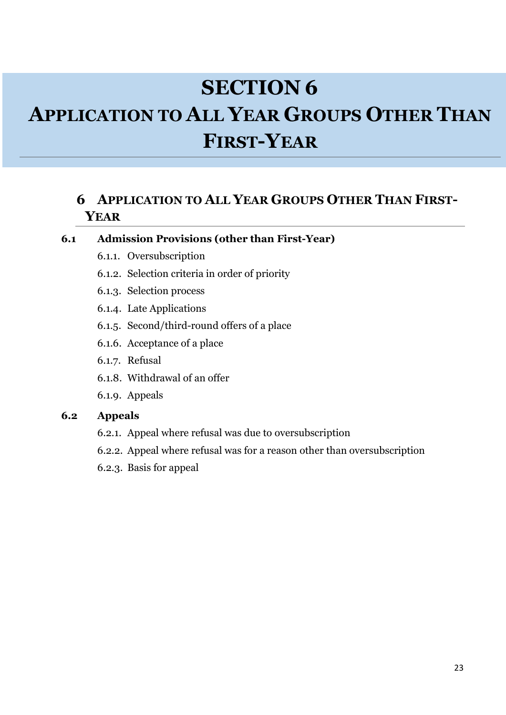## SECTION 6 APPLICATION TO ALL YEAR GROUPS OTHER THAN FIRST-YEAR

## 6 APPLICATION TO ALL YEAR GROUPS OTHER THAN FIRST-YEAR

#### 6.1 Admission Provisions (other than First-Year)

- 6.1.1. Oversubscription
- 6.1.2. Selection criteria in order of priority
- 6.1.3. Selection process
- 6.1.4. Late Applications
- 6.1.5. Second/third-round offers of a place
- 6.1.6. Acceptance of a place
- 6.1.7. Refusal
- 6.1.8. Withdrawal of an offer
- 6.1.9. Appeals

#### 6.2 Appeals

- 6.2.1. Appeal where refusal was due to oversubscription
- 6.2.2. Appeal where refusal was for a reason other than oversubscription
- 6.2.3. Basis for appeal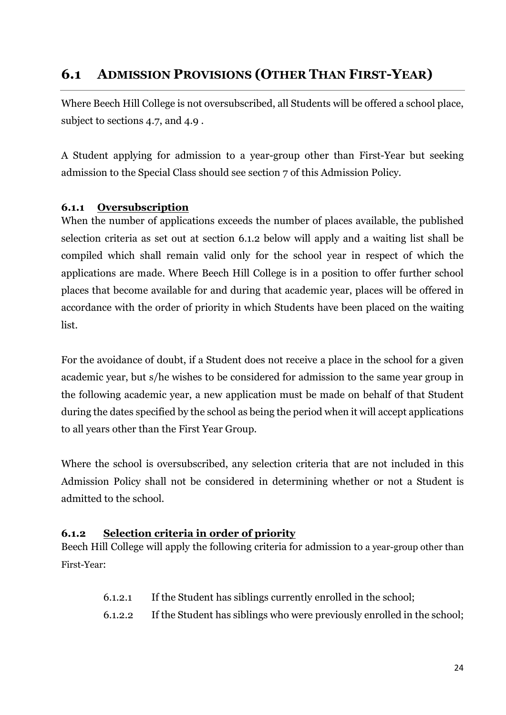## 6.1 ADMISSION PROVISIONS (OTHER THAN FIRST-YEAR)

Where Beech Hill College is not oversubscribed, all Students will be offered a school place, subject to sections 4.7, and 4.9 .

A Student applying for admission to a year-group other than First-Year but seeking admission to the Special Class should see section 7 of this Admission Policy.

### 6.1.1 Oversubscription

When the number of applications exceeds the number of places available, the published selection criteria as set out at section 6.1.2 below will apply and a waiting list shall be compiled which shall remain valid only for the school year in respect of which the applications are made. Where Beech Hill College is in a position to offer further school places that become available for and during that academic year, places will be offered in accordance with the order of priority in which Students have been placed on the waiting list.

For the avoidance of doubt, if a Student does not receive a place in the school for a given academic year, but s/he wishes to be considered for admission to the same year group in the following academic year, a new application must be made on behalf of that Student during the dates specified by the school as being the period when it will accept applications to all years other than the First Year Group.

Where the school is oversubscribed, any selection criteria that are not included in this Admission Policy shall not be considered in determining whether or not a Student is admitted to the school.

#### 6.1.2 Selection criteria in order of priority

Beech Hill College will apply the following criteria for admission to a year-group other than First-Year:

- 6.1.2.1 If the Student has siblings currently enrolled in the school;
- 6.1.2.2 If the Student has siblings who were previously enrolled in the school;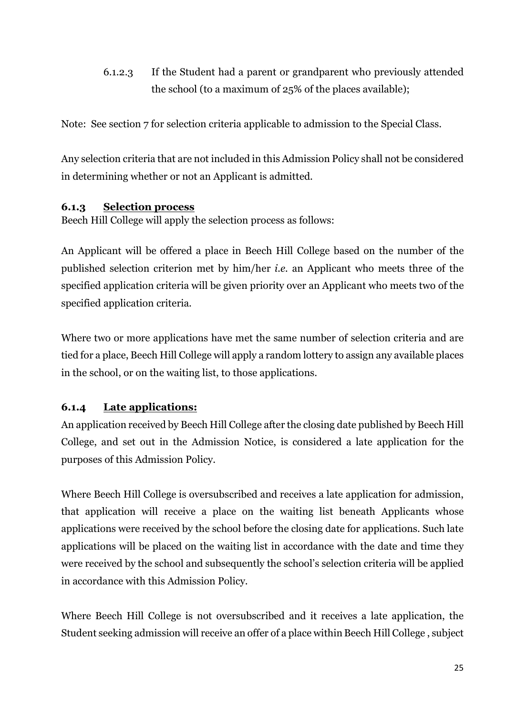6.1.2.3 If the Student had a parent or grandparent who previously attended the school (to a maximum of 25% of the places available);

Note: See section 7 for selection criteria applicable to admission to the Special Class.

Any selection criteria that are not included in this Admission Policy shall not be considered in determining whether or not an Applicant is admitted.

## 6.1.3 Selection process

Beech Hill College will apply the selection process as follows:

An Applicant will be offered a place in Beech Hill College based on the number of the published selection criterion met by him/her i.e. an Applicant who meets three of the specified application criteria will be given priority over an Applicant who meets two of the specified application criteria.

Where two or more applications have met the same number of selection criteria and are tied for a place, Beech Hill College will apply a random lottery to assign any available places in the school, or on the waiting list, to those applications.

## 6.1.4 Late applications:

An application received by Beech Hill College after the closing date published by Beech Hill College, and set out in the Admission Notice, is considered a late application for the purposes of this Admission Policy.

Where Beech Hill College is oversubscribed and receives a late application for admission, that application will receive a place on the waiting list beneath Applicants whose applications were received by the school before the closing date for applications. Such late applications will be placed on the waiting list in accordance with the date and time they were received by the school and subsequently the school's selection criteria will be applied in accordance with this Admission Policy.

Where Beech Hill College is not oversubscribed and it receives a late application, the Student seeking admission will receive an offer of a place within Beech Hill College, subject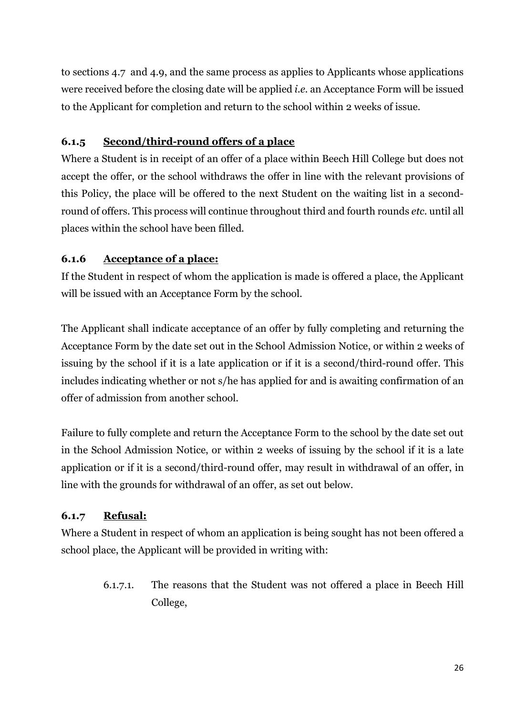to sections 4.7 and 4.9, and the same process as applies to Applicants whose applications were received before the closing date will be applied i.e. an Acceptance Form will be issued to the Applicant for completion and return to the school within 2 weeks of issue.

## 6.1.5 Second/third-round offers of a place

Where a Student is in receipt of an offer of a place within Beech Hill College but does not accept the offer, or the school withdraws the offer in line with the relevant provisions of this Policy, the place will be offered to the next Student on the waiting list in a secondround of offers. This process will continue throughout third and fourth rounds etc. until all places within the school have been filled.

## 6.1.6 Acceptance of a place:

If the Student in respect of whom the application is made is offered a place, the Applicant will be issued with an Acceptance Form by the school.

The Applicant shall indicate acceptance of an offer by fully completing and returning the Acceptance Form by the date set out in the School Admission Notice, or within 2 weeks of issuing by the school if it is a late application or if it is a second/third-round offer. This includes indicating whether or not s/he has applied for and is awaiting confirmation of an offer of admission from another school.

Failure to fully complete and return the Acceptance Form to the school by the date set out in the School Admission Notice, or within 2 weeks of issuing by the school if it is a late application or if it is a second/third-round offer, may result in withdrawal of an offer, in line with the grounds for withdrawal of an offer, as set out below.

## 6.1.7 Refusal:

Where a Student in respect of whom an application is being sought has not been offered a school place, the Applicant will be provided in writing with:

6.1.7.1. The reasons that the Student was not offered a place in Beech Hill College,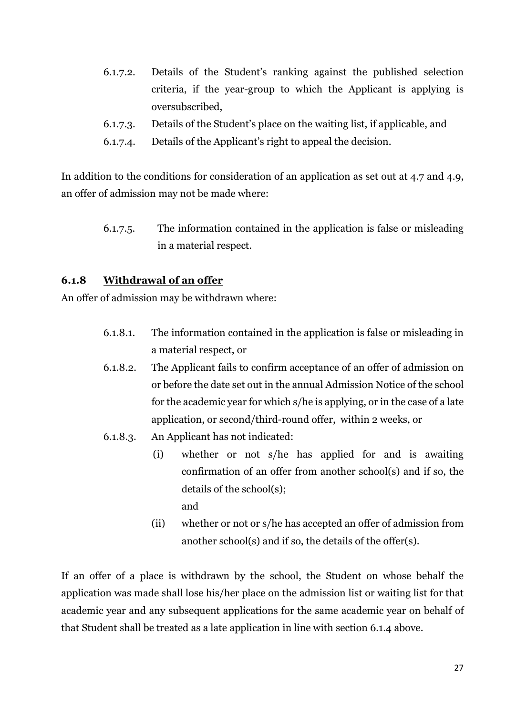- 6.1.7.2. Details of the Student's ranking against the published selection criteria, if the year-group to which the Applicant is applying is oversubscribed,
- 6.1.7.3. Details of the Student's place on the waiting list, if applicable, and
- 6.1.7.4. Details of the Applicant's right to appeal the decision.

In addition to the conditions for consideration of an application as set out at 4.7 and 4.9, an offer of admission may not be made where:

6.1.7.5. The information contained in the application is false or misleading in a material respect.

#### 6.1.8 Withdrawal of an offer

An offer of admission may be withdrawn where:

- 6.1.8.1. The information contained in the application is false or misleading in a material respect, or
- 6.1.8.2. The Applicant fails to confirm acceptance of an offer of admission on or before the date set out in the annual Admission Notice of the school for the academic year for which s/he is applying, or in the case of a late application, or second/third-round offer, within 2 weeks, or
- 6.1.8.3. An Applicant has not indicated:
	- (i) whether or not s/he has applied for and is awaiting confirmation of an offer from another school(s) and if so, the details of the school(s); and
	- (ii) whether or not or s/he has accepted an offer of admission from another school(s) and if so, the details of the offer(s).

If an offer of a place is withdrawn by the school, the Student on whose behalf the application was made shall lose his/her place on the admission list or waiting list for that academic year and any subsequent applications for the same academic year on behalf of that Student shall be treated as a late application in line with section 6.1.4 above.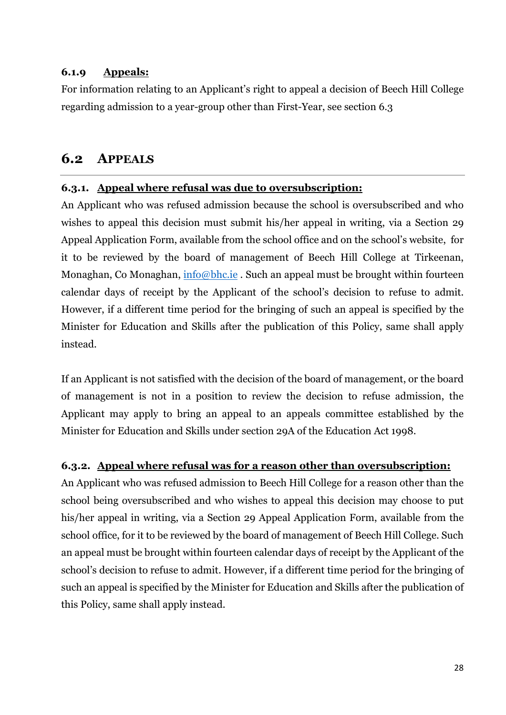#### 6.1.9 Appeals:

For information relating to an Applicant's right to appeal a decision of Beech Hill College regarding admission to a year-group other than First-Year, see section 6.3

## 6.2 APPEALS

## 6.3.1. Appeal where refusal was due to oversubscription:

An Applicant who was refused admission because the school is oversubscribed and who wishes to appeal this decision must submit his/her appeal in writing, via a Section 29 Appeal Application Form, available from the school office and on the school's website, for it to be reviewed by the board of management of Beech Hill College at Tirkeenan, Monaghan, Co Monaghan, info@bhc.ie. Such an appeal must be brought within fourteen calendar days of receipt by the Applicant of the school's decision to refuse to admit. However, if a different time period for the bringing of such an appeal is specified by the Minister for Education and Skills after the publication of this Policy, same shall apply instead.

If an Applicant is not satisfied with the decision of the board of management, or the board of management is not in a position to review the decision to refuse admission, the Applicant may apply to bring an appeal to an appeals committee established by the Minister for Education and Skills under section 29A of the Education Act 1998.

#### 6.3.2. Appeal where refusal was for a reason other than oversubscription:

An Applicant who was refused admission to Beech Hill College for a reason other than the school being oversubscribed and who wishes to appeal this decision may choose to put his/her appeal in writing, via a Section 29 Appeal Application Form, available from the school office, for it to be reviewed by the board of management of Beech Hill College. Such an appeal must be brought within fourteen calendar days of receipt by the Applicant of the school's decision to refuse to admit. However, if a different time period for the bringing of such an appeal is specified by the Minister for Education and Skills after the publication of this Policy, same shall apply instead.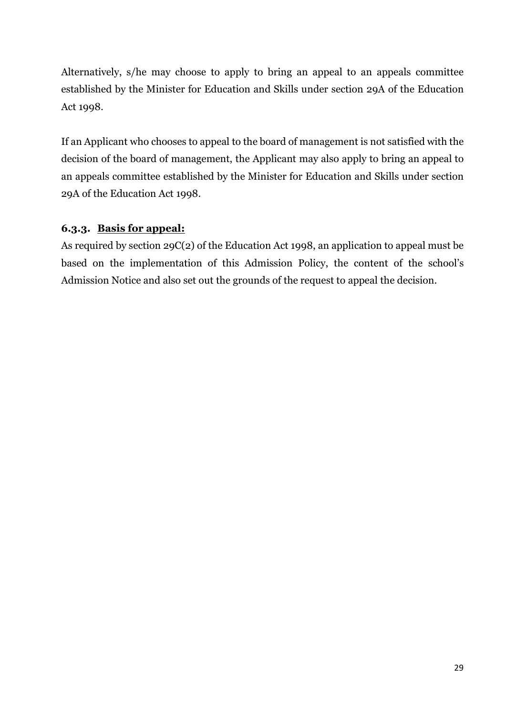Alternatively, s/he may choose to apply to bring an appeal to an appeals committee established by the Minister for Education and Skills under section 29A of the Education Act 1998.

If an Applicant who chooses to appeal to the board of management is not satisfied with the decision of the board of management, the Applicant may also apply to bring an appeal to an appeals committee established by the Minister for Education and Skills under section 29A of the Education Act 1998.

## 6.3.3. Basis for appeal:

As required by section 29C(2) of the Education Act 1998, an application to appeal must be based on the implementation of this Admission Policy, the content of the school's Admission Notice and also set out the grounds of the request to appeal the decision.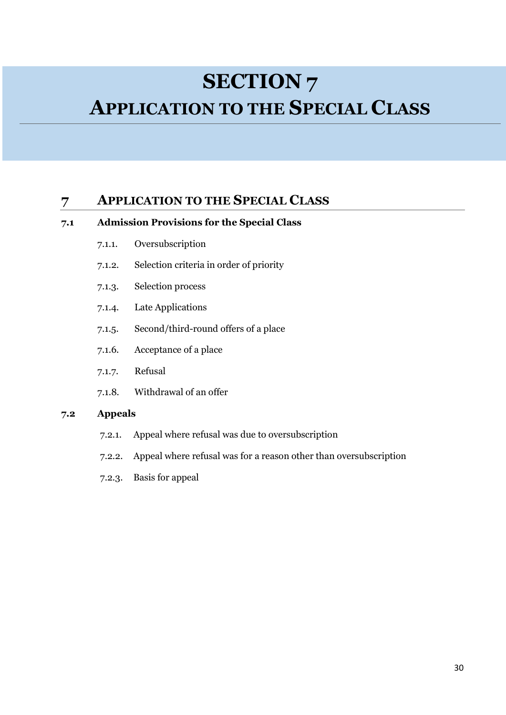## SECTION<sub>7</sub>

## APPLICATION TO THE SPECIAL CLASS

## 7 APPLICATION TO THE SPECIAL CLASS

#### 7.1 Admission Provisions for the Special Class

- 7.1.1. Oversubscription
- 7.1.2. Selection criteria in order of priority
- 7.1.3. Selection process
- 7.1.4. Late Applications
- 7.1.5. Second/third-round offers of a place
- 7.1.6. Acceptance of a place
- 7.1.7. Refusal
- 7.1.8. Withdrawal of an offer

#### 7.2 Appeals

- 7.2.1. Appeal where refusal was due to oversubscription
- 7.2.2. Appeal where refusal was for a reason other than oversubscription
- 7.2.3. Basis for appeal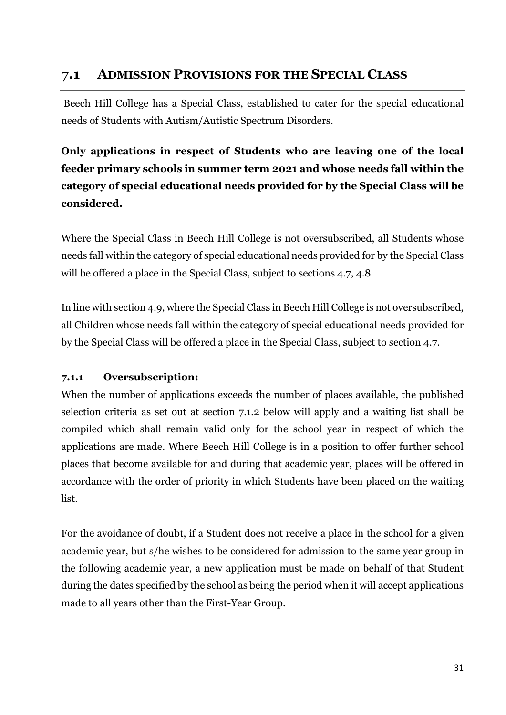## 7.1 ADMISSION PROVISIONS FOR THE SPECIAL CLASS

 Beech Hill College has a Special Class, established to cater for the special educational needs of Students with Autism/Autistic Spectrum Disorders.

Only applications in respect of Students who are leaving one of the local feeder primary schools in summer term 2021 and whose needs fall within the category of special educational needs provided for by the Special Class will be considered.

Where the Special Class in Beech Hill College is not oversubscribed, all Students whose needs fall within the category of special educational needs provided for by the Special Class will be offered a place in the Special Class, subject to sections 4.7, 4.8

In line with section 4.9, where the Special Class in Beech Hill College is not oversubscribed, all Children whose needs fall within the category of special educational needs provided for by the Special Class will be offered a place in the Special Class, subject to section 4.7.

## 7.1.1 Oversubscription:

When the number of applications exceeds the number of places available, the published selection criteria as set out at section 7.1.2 below will apply and a waiting list shall be compiled which shall remain valid only for the school year in respect of which the applications are made. Where Beech Hill College is in a position to offer further school places that become available for and during that academic year, places will be offered in accordance with the order of priority in which Students have been placed on the waiting list.

For the avoidance of doubt, if a Student does not receive a place in the school for a given academic year, but s/he wishes to be considered for admission to the same year group in the following academic year, a new application must be made on behalf of that Student during the dates specified by the school as being the period when it will accept applications made to all years other than the First-Year Group.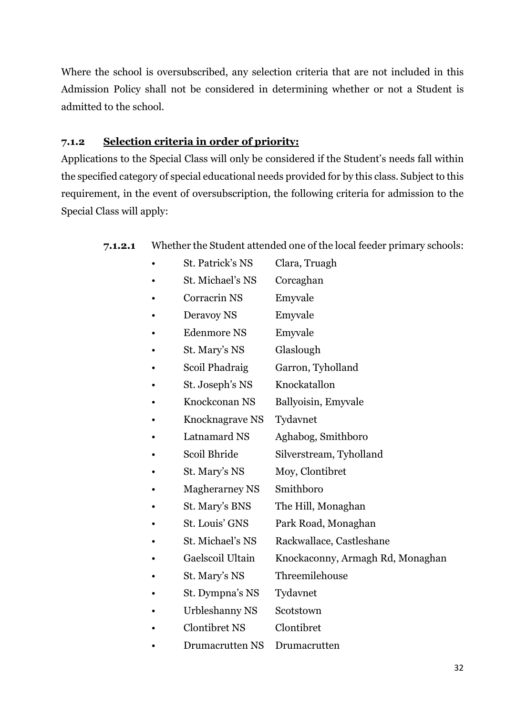Where the school is oversubscribed, any selection criteria that are not included in this Admission Policy shall not be considered in determining whether or not a Student is admitted to the school.

### 7.1.2 Selection criteria in order of priority:

Applications to the Special Class will only be considered if the Student's needs fall within the specified category of special educational needs provided for by this class. Subject to this requirement, in the event of oversubscription, the following criteria for admission to the Special Class will apply:

### 7.1.2.1 Whether the Student attended one of the local feeder primary schools:

- St. Patrick's NS Clara, Truagh
- St. Michael's NS Corcaghan
- Corracrin NS Emyvale
- Deravoy NS Emyvale
- Edenmore NS Emyvale
- St. Mary's NS Glaslough
- Scoil Phadraig Garron, Tyholland
- St. Joseph's NS Knockatallon
- Knockconan NS Ballyoisin, Emyvale
- Knocknagrave NS Tydavnet
- Latnamard NS Aghabog, Smithboro
- Scoil Bhride Silverstream, Tyholland
- St. Mary's NS Moy, Clontibret
- Magherarney NS Smithboro
- St. Mary's BNS The Hill, Monaghan
- St. Louis' GNS Park Road, Monaghan
- St. Michael's NS Rackwallace, Castleshane
- Gaelscoil Ultain Knockaconny, Armagh Rd, Monaghan
	- St. Mary's NS Threemilehouse
		- St. Dympna's NS Tydavnet
	- Urbleshanny NS Scotstown
	- Clontibret NS Clontibret
- Drumacrutten NS Drumacrutten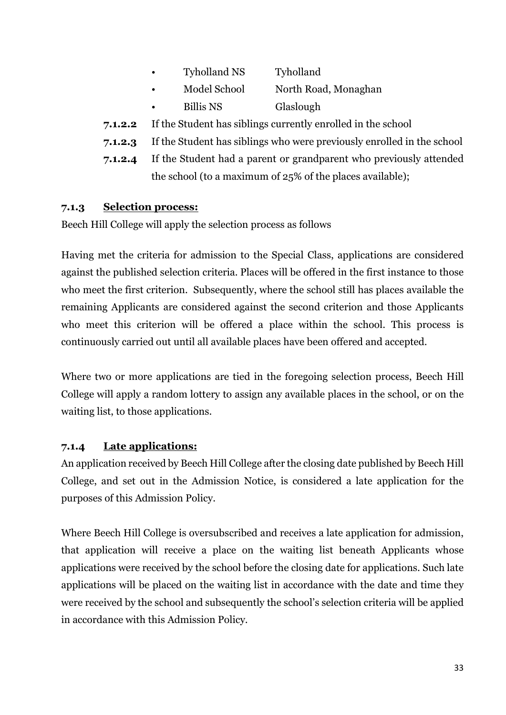| <b>Tyholland NS</b> | Tyholland            |
|---------------------|----------------------|
| Model School        | North Road, Monaghan |

- Billis NS Glaslough
- 7.1.2.2 If the Student has siblings currently enrolled in the school
- 7.1.2.3 If the Student has siblings who were previously enrolled in the school
- 7.1.2.4 If the Student had a parent or grandparent who previously attended the school (to a maximum of 25% of the places available);

### 7.1.3 Selection process:

Beech Hill College will apply the selection process as follows

Having met the criteria for admission to the Special Class, applications are considered against the published selection criteria. Places will be offered in the first instance to those who meet the first criterion. Subsequently, where the school still has places available the remaining Applicants are considered against the second criterion and those Applicants who meet this criterion will be offered a place within the school. This process is continuously carried out until all available places have been offered and accepted.

Where two or more applications are tied in the foregoing selection process, Beech Hill College will apply a random lottery to assign any available places in the school, or on the waiting list, to those applications.

## 7.1.4 Late applications:

An application received by Beech Hill College after the closing date published by Beech Hill College, and set out in the Admission Notice, is considered a late application for the purposes of this Admission Policy.

Where Beech Hill College is oversubscribed and receives a late application for admission, that application will receive a place on the waiting list beneath Applicants whose applications were received by the school before the closing date for applications. Such late applications will be placed on the waiting list in accordance with the date and time they were received by the school and subsequently the school's selection criteria will be applied in accordance with this Admission Policy.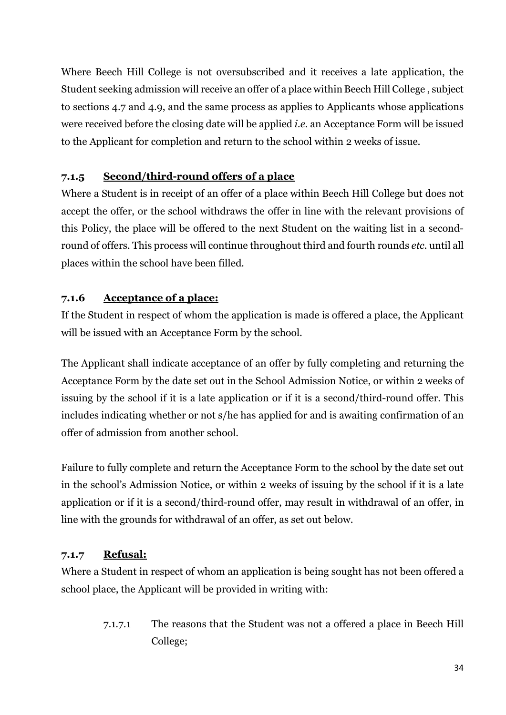Where Beech Hill College is not oversubscribed and it receives a late application, the Student seeking admission will receive an offer of a place within Beech Hill College, subject to sections 4.7 and 4.9, and the same process as applies to Applicants whose applications were received before the closing date will be applied *i.e.* an Acceptance Form will be issued to the Applicant for completion and return to the school within 2 weeks of issue.

## 7.1.5 Second/third-round offers of a place

Where a Student is in receipt of an offer of a place within Beech Hill College but does not accept the offer, or the school withdraws the offer in line with the relevant provisions of this Policy, the place will be offered to the next Student on the waiting list in a secondround of offers. This process will continue throughout third and fourth rounds etc. until all places within the school have been filled.

## 7.1.6 Acceptance of a place:

If the Student in respect of whom the application is made is offered a place, the Applicant will be issued with an Acceptance Form by the school.

The Applicant shall indicate acceptance of an offer by fully completing and returning the Acceptance Form by the date set out in the School Admission Notice, or within 2 weeks of issuing by the school if it is a late application or if it is a second/third-round offer. This includes indicating whether or not s/he has applied for and is awaiting confirmation of an offer of admission from another school.

Failure to fully complete and return the Acceptance Form to the school by the date set out in the school's Admission Notice, or within 2 weeks of issuing by the school if it is a late application or if it is a second/third-round offer, may result in withdrawal of an offer, in line with the grounds for withdrawal of an offer, as set out below.

## 7.1.7 Refusal:

Where a Student in respect of whom an application is being sought has not been offered a school place, the Applicant will be provided in writing with:

> 7.1.7.1 The reasons that the Student was not a offered a place in Beech Hill College;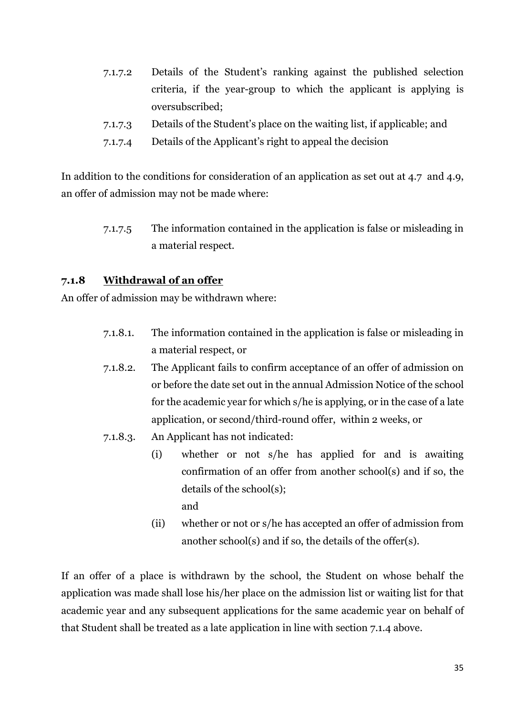- 7.1.7.2 Details of the Student's ranking against the published selection criteria, if the year-group to which the applicant is applying is oversubscribed;
- 7.1.7.3 Details of the Student's place on the waiting list, if applicable; and
- 7.1.7.4 Details of the Applicant's right to appeal the decision

In addition to the conditions for consideration of an application as set out at 4.7 and 4.9, an offer of admission may not be made where:

> 7.1.7.5 The information contained in the application is false or misleading in a material respect.

#### 7.1.8 Withdrawal of an offer

An offer of admission may be withdrawn where:

- 7.1.8.1. The information contained in the application is false or misleading in a material respect, or
- 7.1.8.2. The Applicant fails to confirm acceptance of an offer of admission on or before the date set out in the annual Admission Notice of the school for the academic year for which s/he is applying, or in the case of a late application, or second/third-round offer, within 2 weeks, or
- 7.1.8.3. An Applicant has not indicated:
	- (i) whether or not s/he has applied for and is awaiting confirmation of an offer from another school(s) and if so, the details of the school(s); and
	- (ii) whether or not or s/he has accepted an offer of admission from another school(s) and if so, the details of the offer(s).

If an offer of a place is withdrawn by the school, the Student on whose behalf the application was made shall lose his/her place on the admission list or waiting list for that academic year and any subsequent applications for the same academic year on behalf of that Student shall be treated as a late application in line with section 7.1.4 above.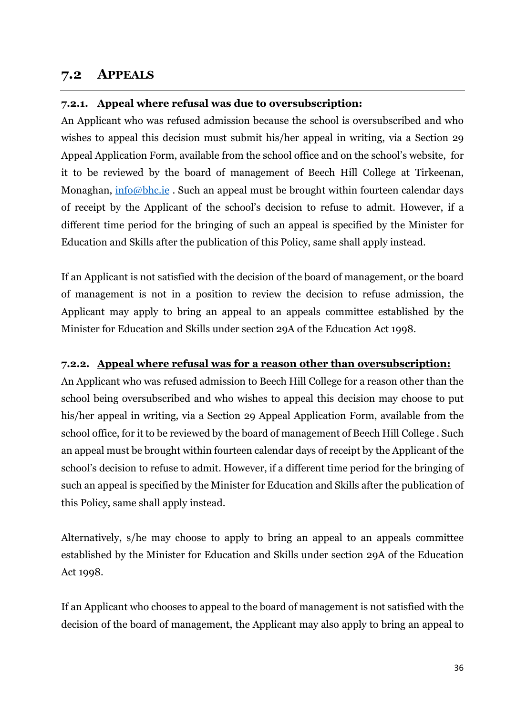## 7.2 APPEALS

### 7.2.1. Appeal where refusal was due to oversubscription:

An Applicant who was refused admission because the school is oversubscribed and who wishes to appeal this decision must submit his/her appeal in writing, via a Section 29 Appeal Application Form, available from the school office and on the school's website, for it to be reviewed by the board of management of Beech Hill College at Tirkeenan, Monaghan, info@bhc.ie. Such an appeal must be brought within fourteen calendar days of receipt by the Applicant of the school's decision to refuse to admit. However, if a different time period for the bringing of such an appeal is specified by the Minister for Education and Skills after the publication of this Policy, same shall apply instead.

If an Applicant is not satisfied with the decision of the board of management, or the board of management is not in a position to review the decision to refuse admission, the Applicant may apply to bring an appeal to an appeals committee established by the Minister for Education and Skills under section 29A of the Education Act 1998.

#### 7.2.2. Appeal where refusal was for a reason other than oversubscription:

An Applicant who was refused admission to Beech Hill College for a reason other than the school being oversubscribed and who wishes to appeal this decision may choose to put his/her appeal in writing, via a Section 29 Appeal Application Form, available from the school office, for it to be reviewed by the board of management of Beech Hill College . Such an appeal must be brought within fourteen calendar days of receipt by the Applicant of the school's decision to refuse to admit. However, if a different time period for the bringing of such an appeal is specified by the Minister for Education and Skills after the publication of this Policy, same shall apply instead.

Alternatively, s/he may choose to apply to bring an appeal to an appeals committee established by the Minister for Education and Skills under section 29A of the Education Act 1998.

If an Applicant who chooses to appeal to the board of management is not satisfied with the decision of the board of management, the Applicant may also apply to bring an appeal to